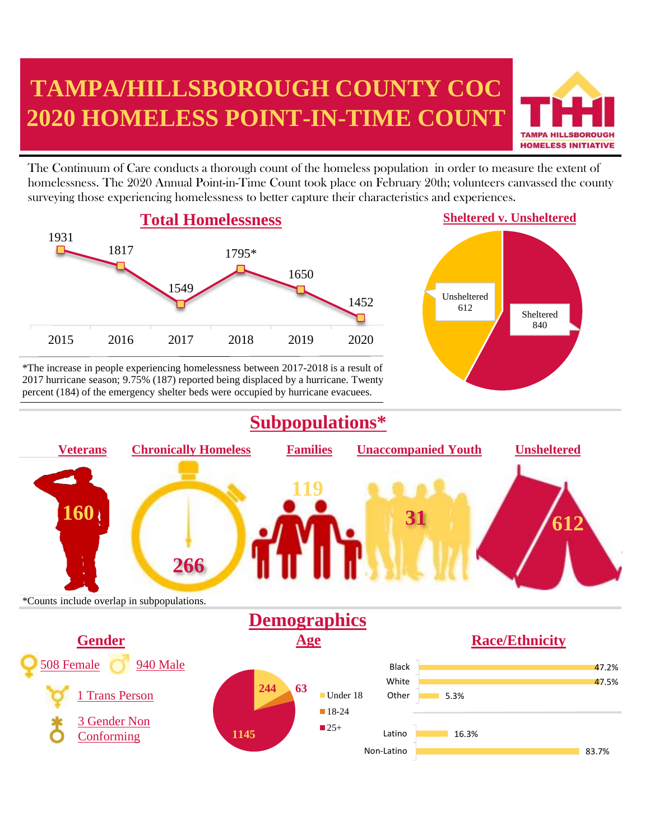# **TAMPA/HILLSBOROUGH COUNTY COC 2020 HOMELESS POINT-IN-TIME COUNT**



The Continuum of Care conducts a thorough count of the homeless population in order to measure the extent of homelessness. The 2020 Annual Point-in-Time Count took place on February 20th; volunteers canvassed the county surveying those experiencing homelessness to better capture their characteristics and experiences.



 $*$ The increase in people experiencing homelessness between 2017-2018 is a result of 2017 hurricane season; 9.75% (187) reported being displaced by a hurricane. Twenty percent (184) of the emergency shelter beds were occupied by hurricane evacuees.





# **Subpopulations\***

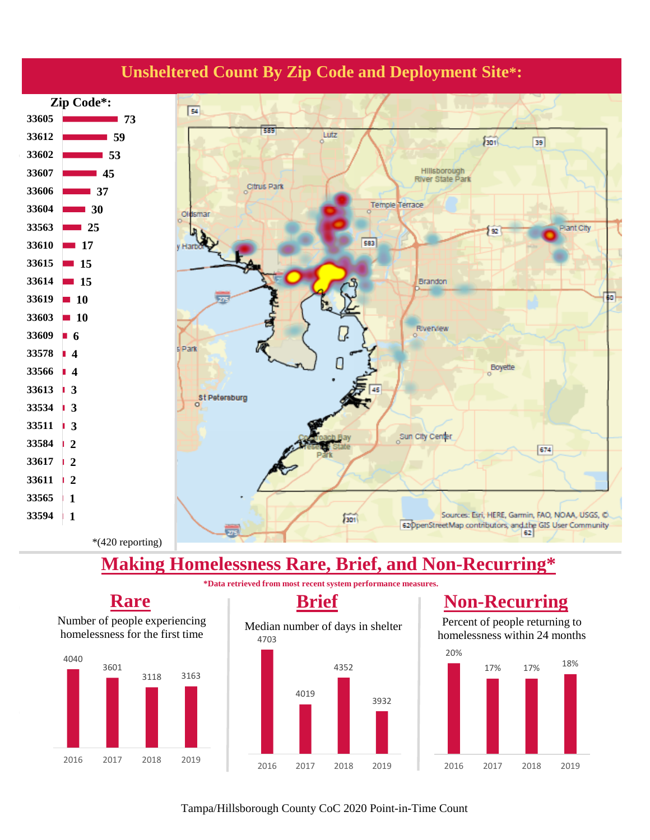

## **Unsheltered Count By Zip Code and Deployment Site\*:**

Tampa/Hillsborough County CoC 2020 Point-in-Time Count

2016 2017 2018 2019

2016 2017 2018 2019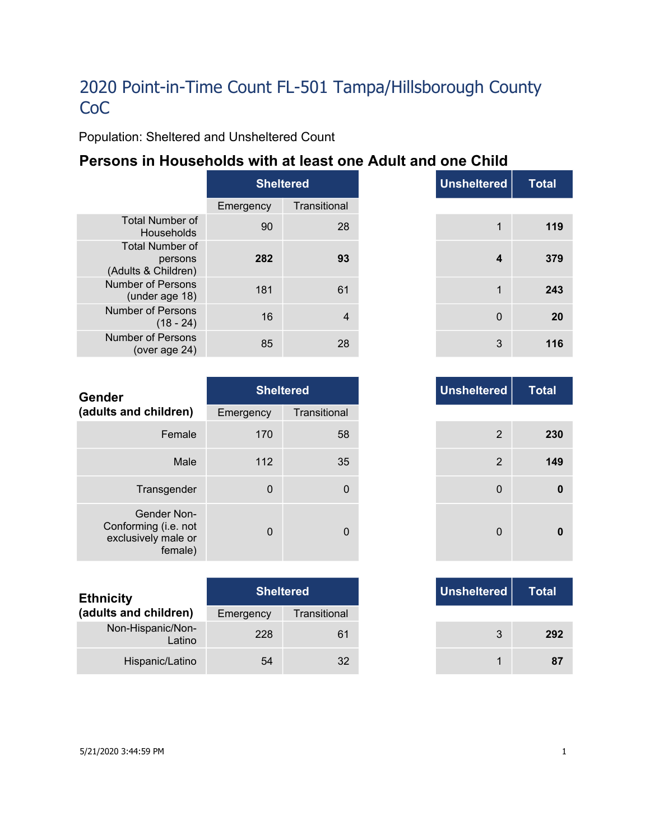# 2020 Point-in-Time Count FL-501 Tampa/Hillsborough County **CoC**

Population: Sheltered and Unsheltered Count

## **Persons in Households with at least one Adult and one Child**

|                                                          | <b>Sheltered</b> |              |
|----------------------------------------------------------|------------------|--------------|
|                                                          | Emergency        | Transitional |
| <b>Total Number of</b><br>Households                     | 90               | 28           |
| <b>Total Number of</b><br>persons<br>(Adults & Children) | 282              | 93           |
| Number of Persons<br>(under age 18)                      | 181              | 61           |
| Number of Persons<br>$(18 - 24)$                         | 16               |              |
| Number of Persons<br>(over age $24$ )                    | 85               | 28           |

|     | <b>Sheltered</b> |
|-----|------------------|
| ncy | Transitional     |
| 90  | 28               |
| 282 | 93               |
| 181 | 61               |
| 16  | 4                |
| 85  | 28               |

| Gender                                                                |             | <b>Sheltered</b> | <b>Unsheltered</b> |
|-----------------------------------------------------------------------|-------------|------------------|--------------------|
| (adults and children)                                                 | Emergency   | Transitional     |                    |
| Female                                                                | 170         | 58               | 2                  |
| Male                                                                  | 112         | 35               | 2                  |
| Transgender                                                           | $\mathbf 0$ | 0                | $\Omega$           |
| Gender Non-<br>Conforming (i.e. not<br>exclusively male or<br>female) | $\Omega$    | 0                | $\Omega$           |

| <b>Ethnicity</b>            |           | <b>Sheltered</b> | Unsheltered |
|-----------------------------|-----------|------------------|-------------|
| (adults and children)       | Emergency | Transitional     |             |
| Non-Hispanic/Non-<br>Latino | 228       | 61               | 3           |
| Hispanic/Latino             | 54        | 32               |             |

| <b>Sheltered</b> |    | <b>Unsheltered</b> | <b>Total</b> |
|------------------|----|--------------------|--------------|
| Transitional     |    |                    |              |
|                  | 58 | 2                  |              |
|                  | 35 | $\overline{2}$     |              |
|                  | 0  | $\mathbf 0$        |              |
|                  | 0  | $\mathbf 0$        |              |

| <b>Sheltered</b> | <b>Unsheltered</b> |
|------------------|--------------------|
| Transitional     |                    |
| 61               | 3                  |
| 32               |                    |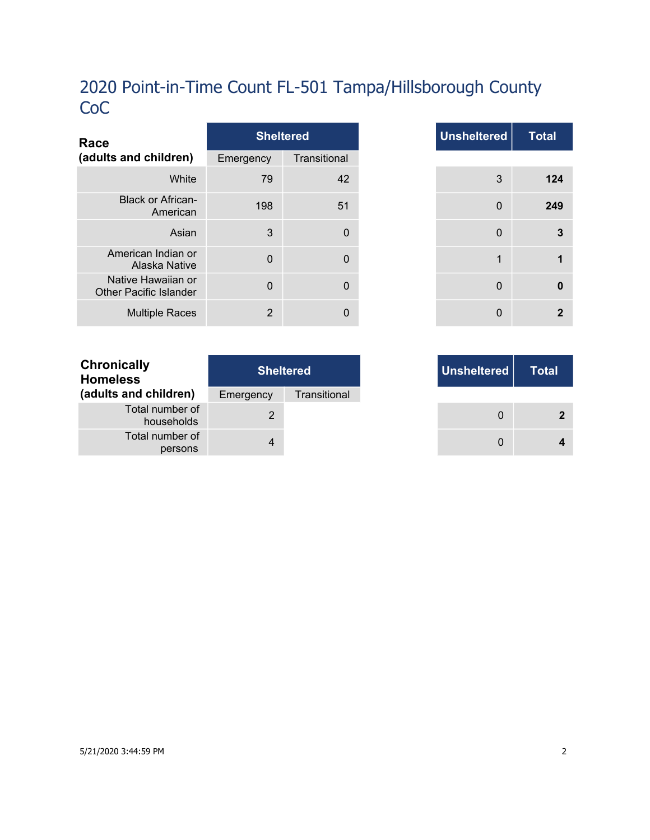# 2020 Point-in-Time Count FL-501 Tampa/Hillsborough County **CoC**

| Race                                                |              | <b>Sheltered</b> |
|-----------------------------------------------------|--------------|------------------|
| (adults and children)                               | Emergency    | Transitional     |
| White                                               | 79           | 42               |
| <b>Black or African-</b><br>American                | 198          | 51               |
| Asian                                               | 3            | $\mathbf{0}$     |
| American Indian or<br>Alaska Native                 | $\mathbf{0}$ | $\mathbf{0}$     |
| Native Hawaiian or<br><b>Other Pacific Islander</b> | $\mathbf{0}$ | $\mathbf{0}$     |
| <b>Multiple Races</b>                               | 2            | 0                |

|                | <b>Sheltered</b> |
|----------------|------------------|
| าcy            | Transitional     |
| 79             | 42               |
| 198            | 51               |
| $\mathfrak{B}$ | 0                |
| $\mathbf 0$    | 0                |
| $\mathbf 0$    | 0                |
| 2              | 0                |

|                | <b>Sheltered</b> |
|----------------|------------------|
| าcy            | Transitional     |
| $\overline{2}$ |                  |
|                |                  |

| <b>Chronically</b><br><b>Homeless</b> | <b>Sheltered</b> |              |  |  |
|---------------------------------------|------------------|--------------|--|--|
| (adults and children)                 | Emergency        | Transitional |  |  |
| Total number of<br>households         | 2                |              |  |  |
| Total number of<br>persons            |                  |              |  |  |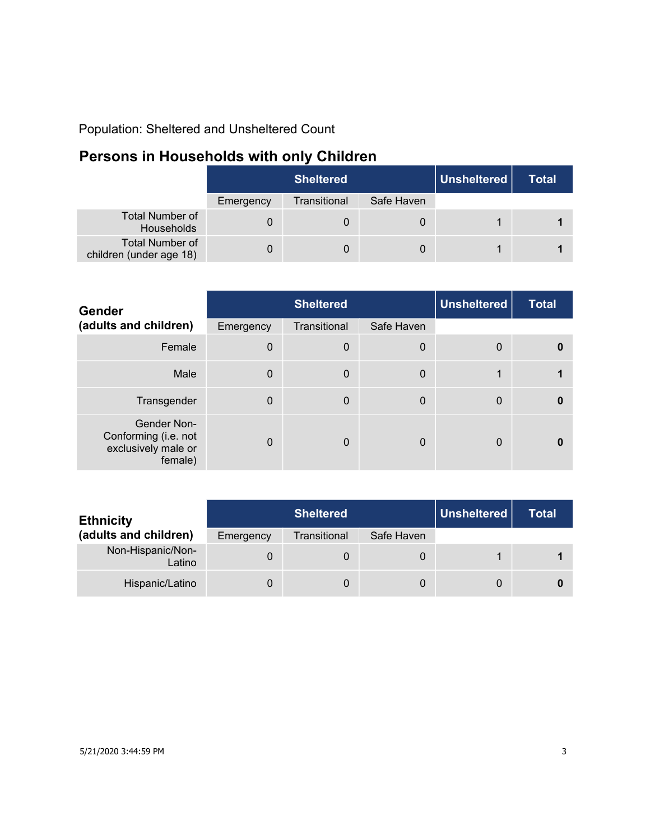Population: Sheltered and Unsheltered Count

# **Persons in Households with only Children**

|                                                   | <b>Sheltered</b> |              |            | Unsheltered | <b>Total</b> |
|---------------------------------------------------|------------------|--------------|------------|-------------|--------------|
|                                                   | Emergency        | Transitional | Safe Haven |             |              |
| Total Number of<br>Households                     |                  |              |            |             |              |
| <b>Total Number of</b><br>children (under age 18) |                  | 0            | 0          |             |              |

| Gender                                                                | <b>Sheltered</b> |                |             | <b>Unsheltered</b> | <b>Total</b> |
|-----------------------------------------------------------------------|------------------|----------------|-------------|--------------------|--------------|
| (adults and children)                                                 | Emergency        | Transitional   | Safe Haven  |                    |              |
| Female                                                                | $\overline{0}$   | $\overline{0}$ | 0           | 0                  | $\mathbf{0}$ |
| Male                                                                  | $\Omega$         | $\mathbf 0$    | $\mathbf 0$ | 1                  |              |
| Transgender                                                           | $\Omega$         | $\mathbf 0$    | 0           | $\overline{0}$     | $\mathbf{0}$ |
| Gender Non-<br>Conforming (i.e. not<br>exclusively male or<br>female) | $\Omega$         | $\Omega$       | 0           | 0                  | 0            |

| <b>Ethnicity</b>            | <b>Sheltered</b> |              |            | Unsheltered | Total |
|-----------------------------|------------------|--------------|------------|-------------|-------|
| (adults and children)       | Emergency        | Transitional | Safe Haven |             |       |
| Non-Hispanic/Non-<br>Latino |                  | 0            | 0          |             |       |
| Hispanic/Latino             |                  | 0            | 0          | 0           |       |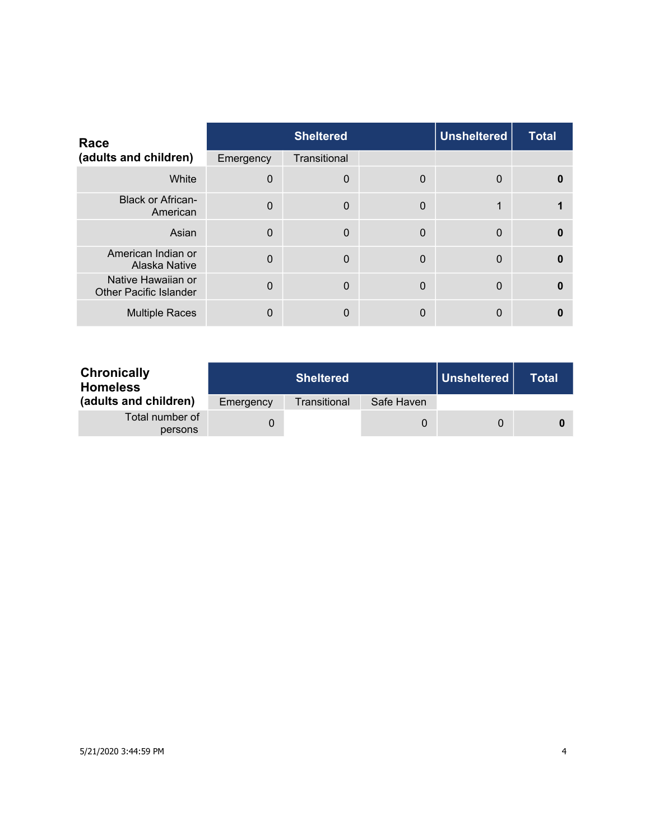| Race                                                | <b>Sheltered</b> |              |             | <b>Unsheltered</b> | <b>Total</b> |
|-----------------------------------------------------|------------------|--------------|-------------|--------------------|--------------|
| (adults and children)                               | Emergency        | Transitional |             |                    |              |
| White                                               | $\Omega$         | $\mathbf 0$  | 0           | $\Omega$           | 0            |
| <b>Black or African-</b><br>American                | $\Omega$         | $\mathbf 0$  | $\mathbf 0$ |                    |              |
| Asian                                               | $\Omega$         | $\mathbf 0$  | $\mathbf 0$ | $\Omega$           | $\Omega$     |
| American Indian or<br>Alaska Native                 | $\overline{0}$   | $\Omega$     | $\Omega$    | $\Omega$           | $\Omega$     |
| Native Hawaiian or<br><b>Other Pacific Islander</b> | $\Omega$         | $\Omega$     | $\Omega$    | $\Omega$           | $\Omega$     |
| <b>Multiple Races</b>                               | 0                | $\mathbf{0}$ | 0           | 0                  |              |

| <b>Chronically</b><br><b>Homeless</b> |           | <b>Sheltered</b> |            | Unsheltered | Total |
|---------------------------------------|-----------|------------------|------------|-------------|-------|
| (adults and children)                 | Emergency | Transitional     | Safe Haven |             |       |
| Total number of<br>persons            |           |                  | O          | 0           |       |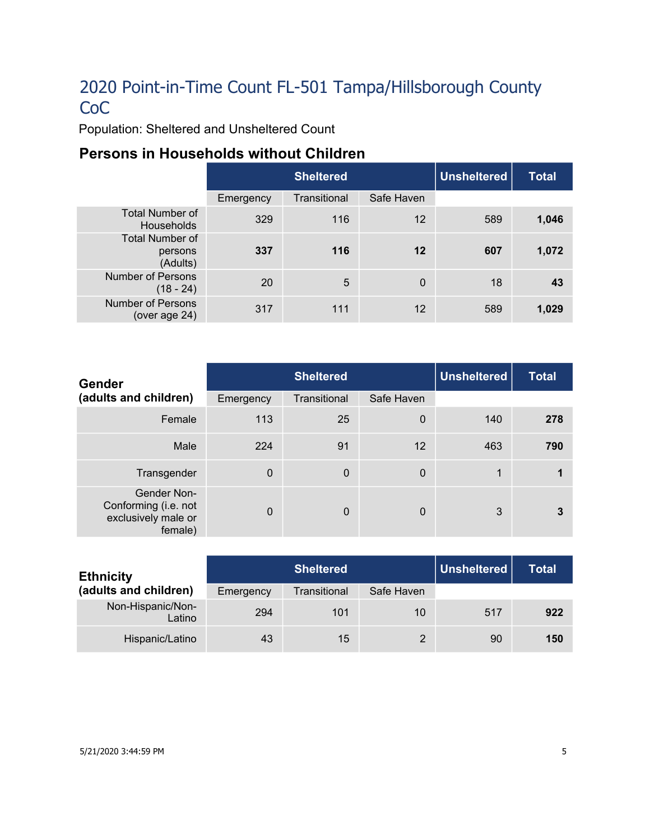# 2020 Point-in-Time Count FL-501 Tampa/Hillsborough County **CoC**

Population: Sheltered and Unsheltered Count

## **Persons in Households without Children**

|                                               |           | <b>Sheltered</b> | <b>Unsheltered</b> | <b>Total</b> |       |
|-----------------------------------------------|-----------|------------------|--------------------|--------------|-------|
|                                               | Emergency | Transitional     | Safe Haven         |              |       |
| <b>Total Number of</b><br><b>Households</b>   | 329       | 116              | 12                 | 589          | 1,046 |
| <b>Total Number of</b><br>persons<br>(Adults) | 337       | 116              | 12                 | 607          | 1,072 |
| Number of Persons<br>$(18 - 24)$              | <b>20</b> | 5                | $\mathbf 0$        | 18           | 43    |
| Number of Persons<br>(over age 24)            | 317       | 111              | 12                 | 589          | 1,029 |

| Gender                                                                | <b>Sheltered</b> |              |             | <b>Unsheltered</b> | <b>Total</b> |
|-----------------------------------------------------------------------|------------------|--------------|-------------|--------------------|--------------|
| (adults and children)                                                 | Emergency        | Transitional | Safe Haven  |                    |              |
| Female                                                                | 113              | 25           | $\mathbf 0$ | 140                | 278          |
| Male                                                                  | 224              | 91           | 12          | 463                | 790          |
| Transgender                                                           | $\overline{0}$   | $\mathbf 0$  | $\mathbf 0$ | 1                  |              |
| Gender Non-<br>Conforming (i.e. not<br>exclusively male or<br>female) | $\Omega$         | $\mathbf 0$  | $\Omega$    | 3                  | 3            |

| <b>Ethnicity</b>            |           | Unsheltered<br><b>Sheltered</b> |            |     | <b>Total</b> |
|-----------------------------|-----------|---------------------------------|------------|-----|--------------|
| (adults and children)       | Emergency | Transitional                    | Safe Haven |     |              |
| Non-Hispanic/Non-<br>Latino | 294       | 101                             | 10         | 517 | 922          |
| Hispanic/Latino             | 43        | 15                              | 2          | 90  | 150          |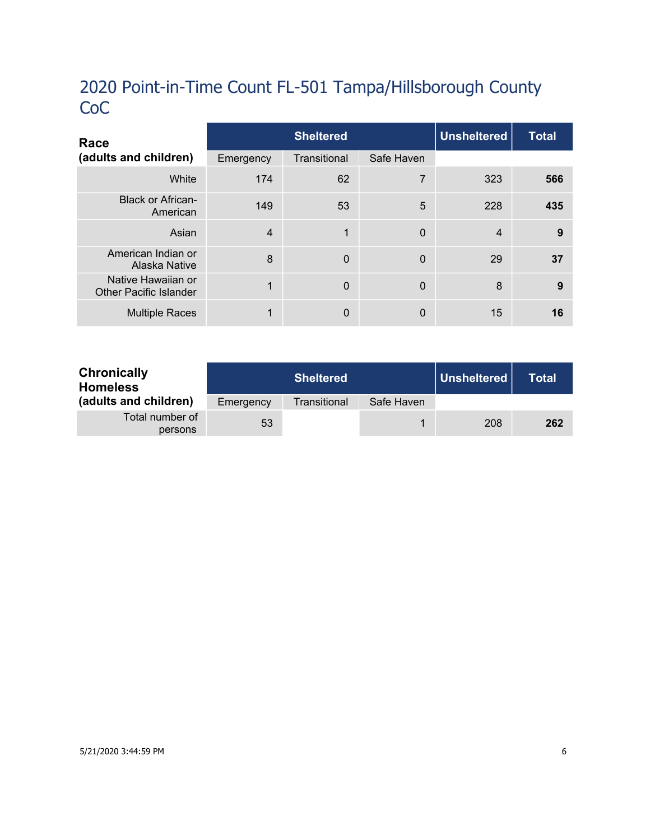# 2020 Point-in-Time Count FL-501 Tampa/Hillsborough County **CoC**

| Race                                                |                | <b>Sheltered</b> |             |                | <b>Total</b> |
|-----------------------------------------------------|----------------|------------------|-------------|----------------|--------------|
| (adults and children)                               | Emergency      | Transitional     | Safe Haven  |                |              |
| White                                               | 174            | 62               | 7           | 323            | 566          |
| <b>Black or African-</b><br>American                | 149            | 53               | 5           | 228            | 435          |
| Asian                                               | $\overline{4}$ | 1                | $\mathbf 0$ | $\overline{4}$ | 9            |
| American Indian or<br>Alaska Native                 | 8              | $\mathbf 0$      | $\mathbf 0$ | 29             | 37           |
| Native Hawaiian or<br><b>Other Pacific Islander</b> | 1              | $\Omega$         | $\Omega$    | 8              | 9            |
| <b>Multiple Races</b>                               | 1              | $\mathbf{0}$     | 0           | 15             | 16           |

| <b>Chronically</b><br><b>Homeless</b> |           | <b>Sheltered</b> |            | ∣ Unsheltered ∣ | Total |
|---------------------------------------|-----------|------------------|------------|-----------------|-------|
| (adults and children)                 | Emergency | Transitional     | Safe Haven |                 |       |
| Total number of<br>persons            | 53        |                  |            | 208             | 262   |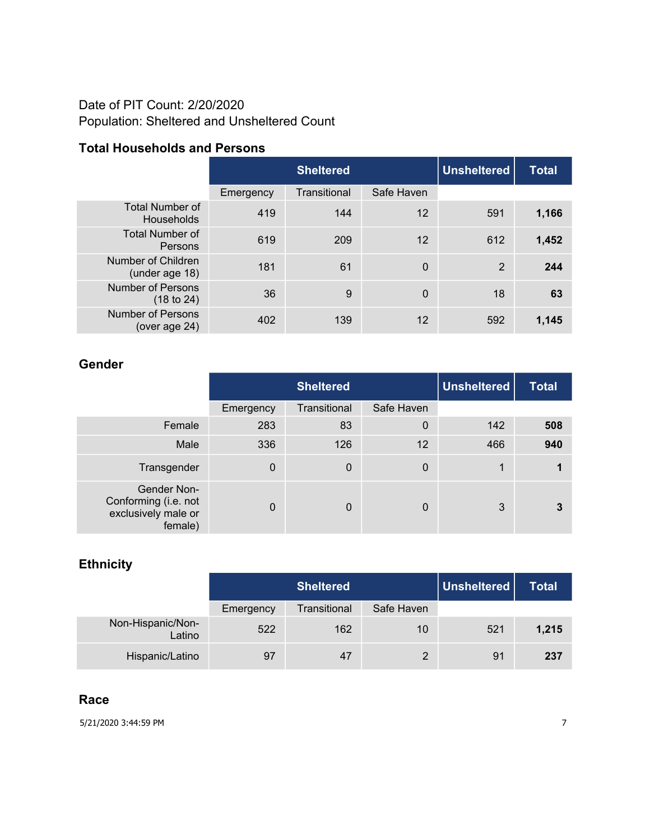#### Date of PIT Count: 2/20/2020 Population: Sheltered and Unsheltered Count

#### **Total Households and Persons**

|                                                   | <b>Sheltered</b> |              |            | <b>Unsheltered</b> | <b>Total</b> |
|---------------------------------------------------|------------------|--------------|------------|--------------------|--------------|
|                                                   | Emergency        | Transitional | Safe Haven |                    |              |
| <b>Total Number of</b><br><b>Households</b>       | 419              | 144          | 12         | 591                | 1,166        |
| <b>Total Number of</b><br>Persons                 | 619              | 209          | 12         | 612                | 1,452        |
| Number of Children<br>(under age 18)              | 181              | 61           | 0          | $\overline{2}$     | 244          |
| <b>Number of Persons</b><br>$(18 \text{ to } 24)$ | 36               | 9            | 0          | 18                 | 63           |
| <b>Number of Persons</b><br>(over age 24)         | 402              | 139          | 12         | 592                | 1,145        |

#### **Gender**

|                                                                       | <b>Sheltered</b> |              |                  | <b>Unsheltered</b> | <b>Total</b> |
|-----------------------------------------------------------------------|------------------|--------------|------------------|--------------------|--------------|
|                                                                       | Emergency        | Transitional | Safe Haven       |                    |              |
| Female                                                                | 283              | 83           | $\boldsymbol{0}$ | 142                | 508          |
| Male                                                                  | 336              | 126          | 12               | 466                | 940          |
| Transgender                                                           | 0                | $\Omega$     | 0                | 1                  |              |
| Gender Non-<br>Conforming (i.e. not<br>exclusively male or<br>female) | $\Omega$         | $\mathbf 0$  | 0                | 3                  | 3            |

## **Ethnicity**

|                             | <b>Sheltered</b> |              |            | Unsheltered | <b>Total</b> |
|-----------------------------|------------------|--------------|------------|-------------|--------------|
|                             | Emergency        | Transitional | Safe Haven |             |              |
| Non-Hispanic/Non-<br>Latino | 522              | 162          | 10         | 521         | 1,215        |
| Hispanic/Latino             | 97               | 47           | 2          | 91          | 237          |

#### **Race**

5/21/2020 3:44:59 PM 7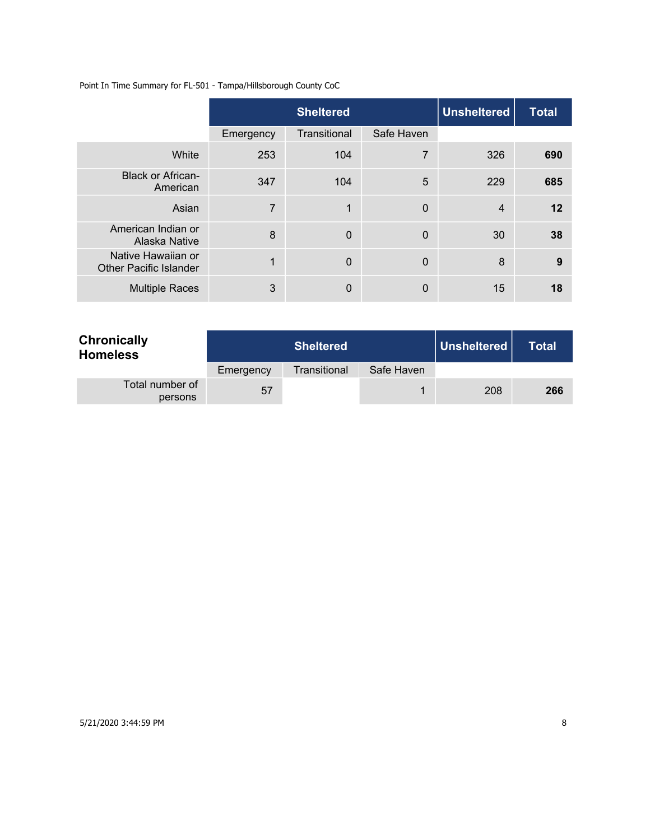Point In Time Summary for FL-501 - Tampa/Hillsborough County CoC

|                                                     |           | <b>Unsheltered</b><br><b>Sheltered</b> |                |     | <b>Total</b> |
|-----------------------------------------------------|-----------|----------------------------------------|----------------|-----|--------------|
|                                                     | Emergency | Transitional                           | Safe Haven     |     |              |
| White                                               | 253       | 104                                    | $\overline{7}$ | 326 | 690          |
| <b>Black or African-</b><br>American                | 347       | 104                                    | 5              | 229 | 685          |
| Asian                                               | 7         | $\mathbf{1}$                           | $\mathbf 0$    | 4   | 12           |
| American Indian or<br>Alaska Native                 | 8         | $\overline{0}$                         | $\mathbf 0$    | 30  | 38           |
| Native Hawaiian or<br><b>Other Pacific Islander</b> | 1         | $\Omega$                               | $\mathbf 0$    | 8   | 9            |
| <b>Multiple Races</b>                               | 3         | $\Omega$                               | $\Omega$       | 15  | 18           |

| <b>Chronically</b><br><b>Homeless</b> | <b>Sheltered</b> |              |            | Unsheltered | <b>Total</b> |
|---------------------------------------|------------------|--------------|------------|-------------|--------------|
|                                       | Emergency        | Transitional | Safe Haven |             |              |
| Total number of<br>persons            | 57               |              |            | 208         | 266          |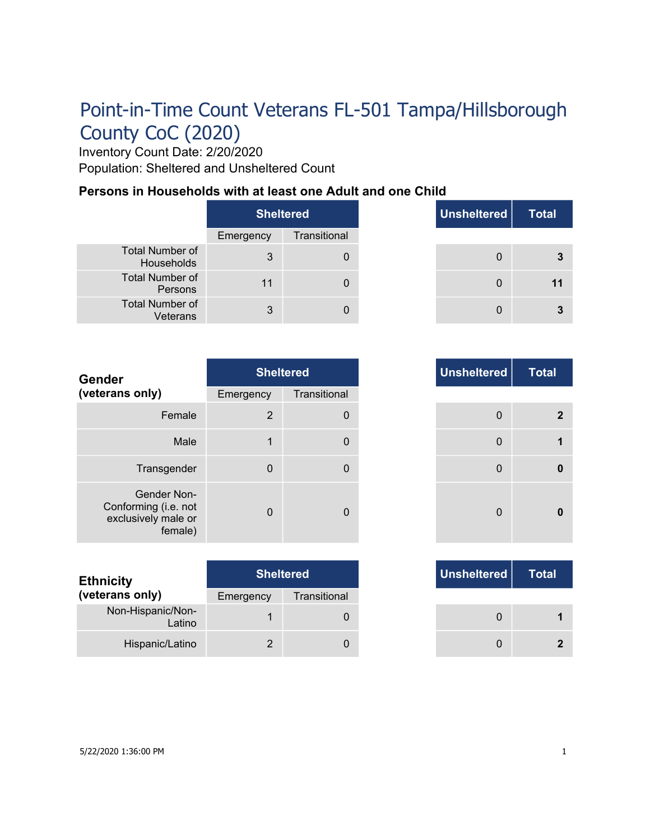# Point-in-Time Count Veterans FL-501 Tampa/Hillsborough County CoC (2020)

Inventory Count Date: 2/20/2020 Population: Sheltered and Unsheltered Count

#### **Persons in Households with at least one Adult and one Child**

|                                      | <b>Sheltered</b> |              |
|--------------------------------------|------------------|--------------|
|                                      | Emergency        | Transitional |
| <b>Total Number of</b><br>Households | 3                |              |
| Total Number of<br>Persons           | 11               |              |
| <b>Total Number of</b><br>Veterans   | 3                |              |

| <b>Total</b> | Unsheltered | <b>Sheltered</b> |     |
|--------------|-------------|------------------|-----|
|              |             | Transitional     | ٦cγ |
|              | 0           | 0                | 3   |
| 11           | 0           | 0                | 11  |
|              | $\Box$      | $\Omega$         | 3   |

| <b>Gender</b>                                                         | <b>Sheltered</b> |              | <b>Unsheltered</b> |
|-----------------------------------------------------------------------|------------------|--------------|--------------------|
| (veterans only)                                                       | Emergency        | Transitional |                    |
| Female                                                                | 2                | 0            | $\Omega$           |
| Male                                                                  | 1                | 0            | $\Omega$           |
| Transgender                                                           | $\mathbf{0}$     | 0            | $\Omega$           |
| Gender Non-<br>Conforming (i.e. not<br>exclusively male or<br>female) | $\mathbf{0}$     | 0            | $\Omega$           |

| <b>Ethnicity</b>            |                | <b>Sheltered</b> | Unsheltered |
|-----------------------------|----------------|------------------|-------------|
| (veterans only)             | Emergency      | Transitional     |             |
| Non-Hispanic/Non-<br>Latino |                |                  |             |
| Hispanic/Latino             | $\overline{2}$ |                  |             |

| <b>Sheltered</b>           | <b>Unsheltered</b> |
|----------------------------|--------------------|
| Transitional<br>าcy        |                    |
| $\overline{2}$<br>$\Omega$ | $\Omega$           |
| 1<br>0                     | 0                  |
| $\Omega$<br>$\Omega$       | $\Omega$           |
| O<br>$\Omega$              | $\Omega$           |

| <b>Sheltered</b> |              |
|------------------|--------------|
| าcy              | Transitional |
|                  |              |
| $\mathcal{D}$    |              |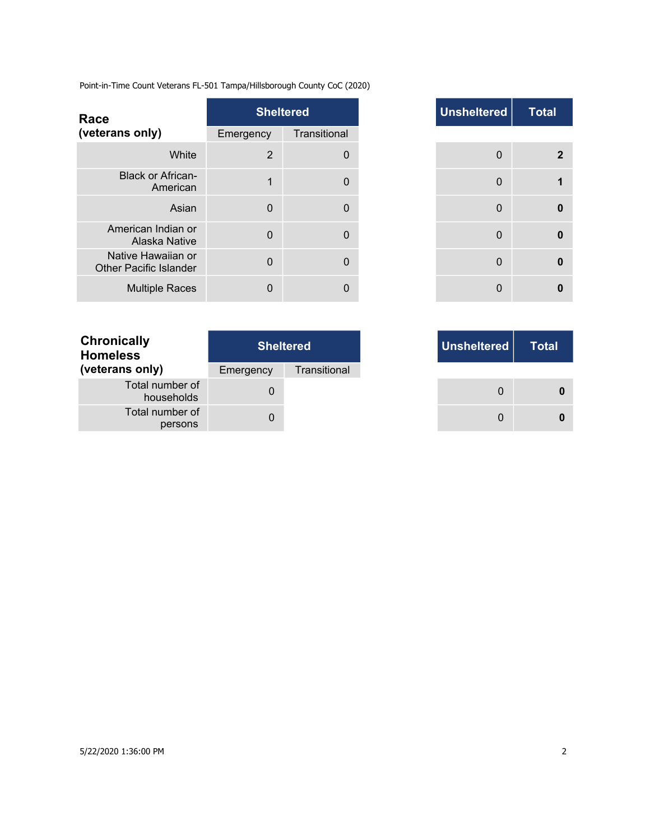Point-in-Time Count Veterans FL-501 Tampa/Hillsborough County CoC (2020)

| Race                                                |                | <b>Sheltered</b> |
|-----------------------------------------------------|----------------|------------------|
| (veterans only)                                     | Emergency      | Transitional     |
| White                                               | $\overline{2}$ | 0                |
| <b>Black or African-</b><br>American                | 1              | $\Omega$         |
| Asian                                               | $\mathbf{0}$   | $\Omega$         |
| American Indian or<br>Alaska Native                 | $\overline{0}$ | $\Omega$         |
| Native Hawaiian or<br><b>Other Pacific Islander</b> | $\overline{0}$ | $\Omega$         |
| <b>Multiple Races</b>                               | $\Omega$       | 0                |

| <b>Chronically</b><br><b>Homeless</b> | <b>Sheltered</b> |              |  |  |
|---------------------------------------|------------------|--------------|--|--|
| (veterans only)                       | Emergency        | Transitional |  |  |
| Total number of<br>households         |                  |              |  |  |
| Total number of<br>persons            |                  |              |  |  |

|                | <b>Sheltered</b> |
|----------------|------------------|
|                | Transitional     |
| $\overline{2}$ | $\mathbf 0$      |
| $\overline{1}$ | $\mathbf{0}$     |
| $\Omega$       | $\mathbf{0}$     |
| $\Omega$       | $\mathbf{0}$     |
| $\Omega$       | 0                |
| U              | $\Omega$         |

| <b>Sheltered</b> |              |
|------------------|--------------|
| ٦cγ              | Transitional |
| 0                |              |
| 0                |              |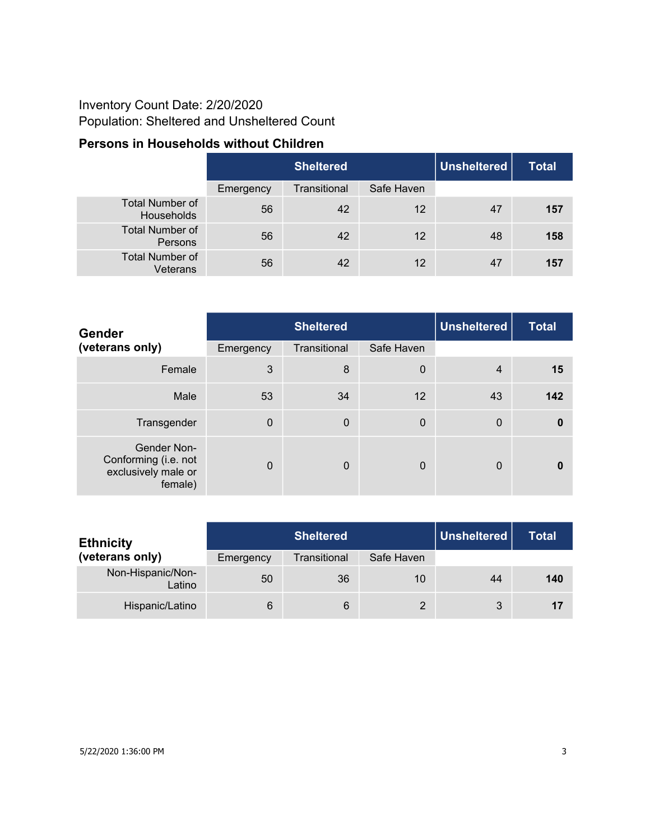## Inventory Count Date: 2/20/2020 Population: Sheltered and Unsheltered Count

#### **Persons in Households without Children**

|                                      | <b>Sheltered</b> |              | Unsheltered | <b>Total</b> |     |
|--------------------------------------|------------------|--------------|-------------|--------------|-----|
|                                      | Emergency        | Transitional | Safe Haven  |              |     |
| <b>Total Number of</b><br>Households | 56               | 42           | 12          | 47           | 157 |
| <b>Total Number of</b><br>Persons    | 56               | 42           | 12          | 48           | 158 |
| <b>Total Number of</b><br>Veterans   | 56               | 42           | 12          | 47           | 157 |

| <b>Gender</b>                                                         | <b>Sheltered</b> |              |             | <b>Unsheltered</b> | <b>Total</b> |
|-----------------------------------------------------------------------|------------------|--------------|-------------|--------------------|--------------|
| (veterans only)                                                       | Emergency        | Transitional | Safe Haven  |                    |              |
| Female                                                                | 3                | 8            | $\mathbf 0$ | 4                  | 15           |
| Male                                                                  | 53               | 34           | 12          | 43                 | 142          |
| Transgender                                                           | $\Omega$         | $\mathbf 0$  | $\mathbf 0$ | $\mathbf 0$        | $\bf{0}$     |
| Gender Non-<br>Conforming (i.e. not<br>exclusively male or<br>female) | $\Omega$         | $\mathbf 0$  | $\Omega$    | $\mathbf{0}$       | 0            |

| <b>Ethnicity</b>            | <b>Sheltered</b> |              |                | Unsheltered | <b>Total</b> |
|-----------------------------|------------------|--------------|----------------|-------------|--------------|
| (veterans only)             | Emergency        | Transitional | Safe Haven     |             |              |
| Non-Hispanic/Non-<br>Latino | 50               | 36           | 10             | 44          | 140          |
| Hispanic/Latino             | 6                | 6            | $\overline{2}$ | 3           | 17           |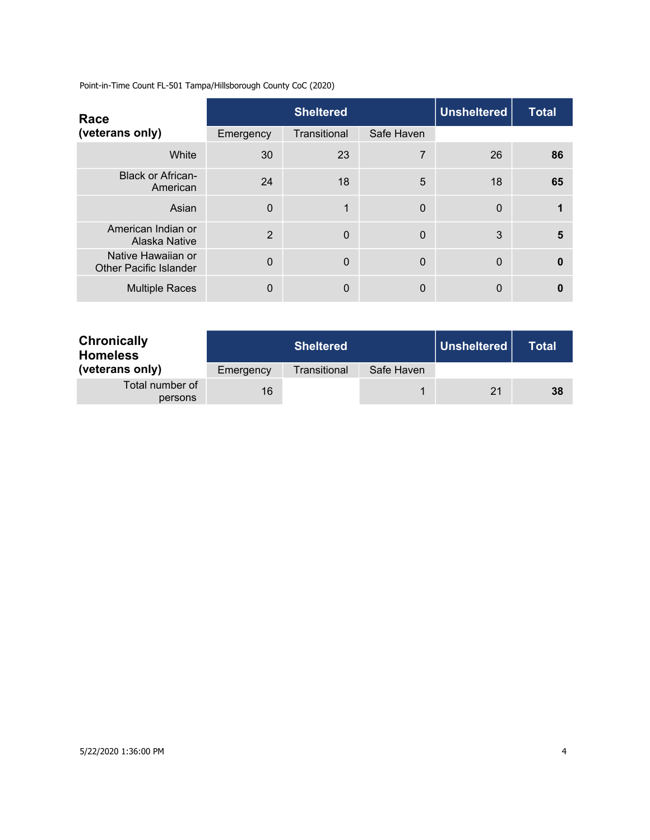Point-in-Time Count FL-501 Tampa/Hillsborough County CoC (2020)

| Race                                                |                | <b>Sheltered</b> |             |          | <b>Total</b> |
|-----------------------------------------------------|----------------|------------------|-------------|----------|--------------|
| (veterans only)                                     | Emergency      | Transitional     | Safe Haven  |          |              |
| White                                               | 30             | 23               | 7           | 26       | 86           |
| <b>Black or African-</b><br>American                | 24             | 18               | 5           | 18       | 65           |
| Asian                                               | $\mathbf{0}$   | $\mathbf 1$      | $\mathbf 0$ | $\Omega$ |              |
| American Indian or<br>Alaska Native                 | $\overline{2}$ | $\mathbf 0$      | $\mathbf 0$ | 3        | 5            |
| Native Hawaiian or<br><b>Other Pacific Islander</b> | $\Omega$       | $\Omega$         | 0           | $\Omega$ | $\Omega$     |
| <b>Multiple Races</b>                               | 0              | $\mathbf{0}$     | 0           | 0        |              |

| <b>Chronically</b><br><b>Homeless</b> |           | <b>Sheltered</b> |            | │ Unsheltered <u>│</u> | Total |
|---------------------------------------|-----------|------------------|------------|------------------------|-------|
| (veterans only)                       | Emergency | Transitional     | Safe Haven |                        |       |
| Total number of<br>persons            | 16        |                  |            | 21                     | 38    |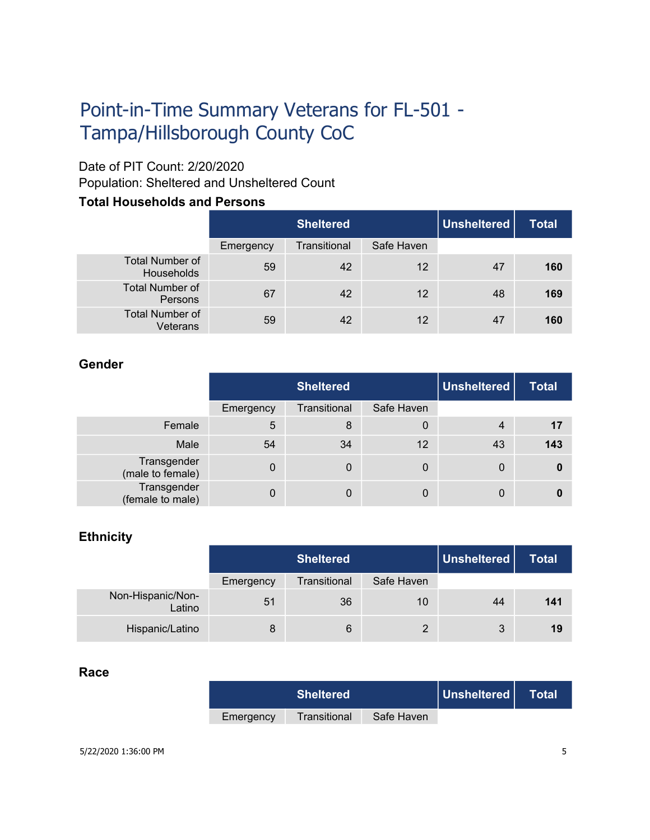# Point-in-Time Summary Veterans for FL-501 - Tampa/Hillsborough County CoC

#### Date of PIT Count: 2/20/2020

Population: Sheltered and Unsheltered Count

#### **Total Households and Persons**

|                                      |           | <b>Sheltered</b> |            | <b>Unsheltered</b> | <b>Total</b> |
|--------------------------------------|-----------|------------------|------------|--------------------|--------------|
|                                      | Emergency | Transitional     | Safe Haven |                    |              |
| <b>Total Number of</b><br>Households | 59        | 42               | 12         | 47                 | 160          |
| <b>Total Number of</b><br>Persons    | 67        | 42               | 12         | 48                 | 169          |
| <b>Total Number of</b><br>Veterans   | 59        | 42               | 12         | 47                 | 160          |

#### **Gender**

|                                 |           | <b>Sheltered</b> |            | Unsheltered | <b>Total</b> |
|---------------------------------|-----------|------------------|------------|-------------|--------------|
|                                 | Emergency | Transitional     | Safe Haven |             |              |
| Female                          | 5         | 8                | 0          | 4           | 17           |
| Male                            | 54        | 34               | 12         | 43          | 143          |
| Transgender<br>(male to female) | 0         | 0                | 0          | 0           | 0            |
| Transgender<br>(female to male) | 0         | $\Omega$         | 0          | 0           |              |

#### **Ethnicity**

|                             | <b>Sheltered</b> |              |            | Unsheltered | <b>Total</b> |
|-----------------------------|------------------|--------------|------------|-------------|--------------|
|                             | Emergency        | Transitional | Safe Haven |             |              |
| Non-Hispanic/Non-<br>Latino | 51               | 36           | 10         | 44          | 141          |
| Hispanic/Latino             | 8                | 6            | 2          | 3           | 19           |

#### **Race**

| <b>Sheltered</b> |              | Unsheltered   Total |  |  |
|------------------|--------------|---------------------|--|--|
| Emergency        | Transitional | Safe Haven          |  |  |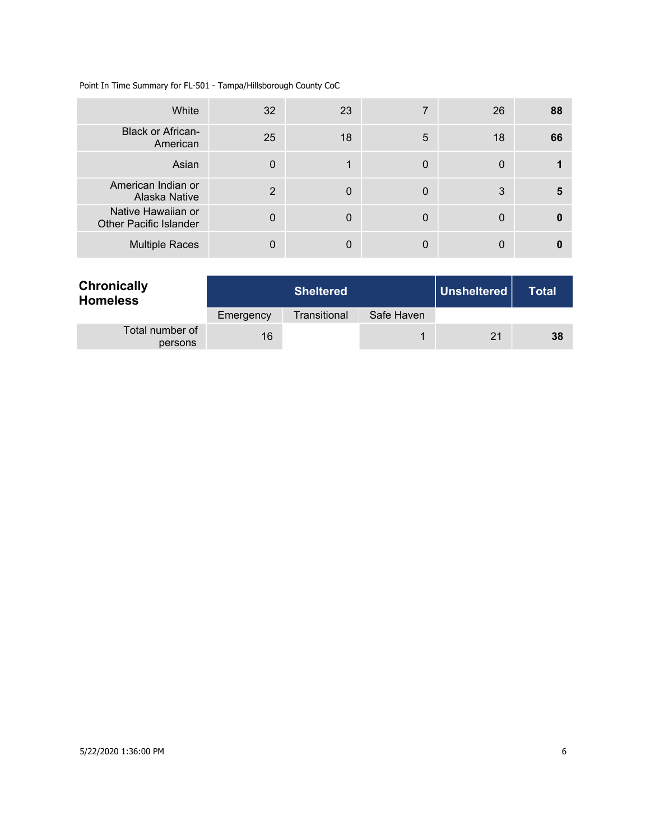#### Point In Time Summary for FL-501 - Tampa/Hillsborough County CoC

| White                                               | 32             | 23 |          | 26 | 88 |
|-----------------------------------------------------|----------------|----|----------|----|----|
| <b>Black or African-</b><br>American                | 25             | 18 | 5        | 18 | 66 |
| Asian                                               | 0              |    | $\Omega$ | 0  |    |
| American Indian or<br>Alaska Native                 | $\overline{2}$ | 0  | $\Omega$ | 3  | 5  |
| Native Hawaiian or<br><b>Other Pacific Islander</b> | $\Omega$       | 0  | $\Omega$ | 0  |    |
| <b>Multiple Races</b>                               |                | 0  |          | 0  |    |

| <b>Chronically</b><br><b>Homeless</b> |           | <b>Sheltered</b> |            | Unsheltered | <b>Total</b> |
|---------------------------------------|-----------|------------------|------------|-------------|--------------|
|                                       | Emergency | Transitional     | Safe Haven |             |              |
| Total number of<br>persons            | 16        |                  |            | 21          | 38           |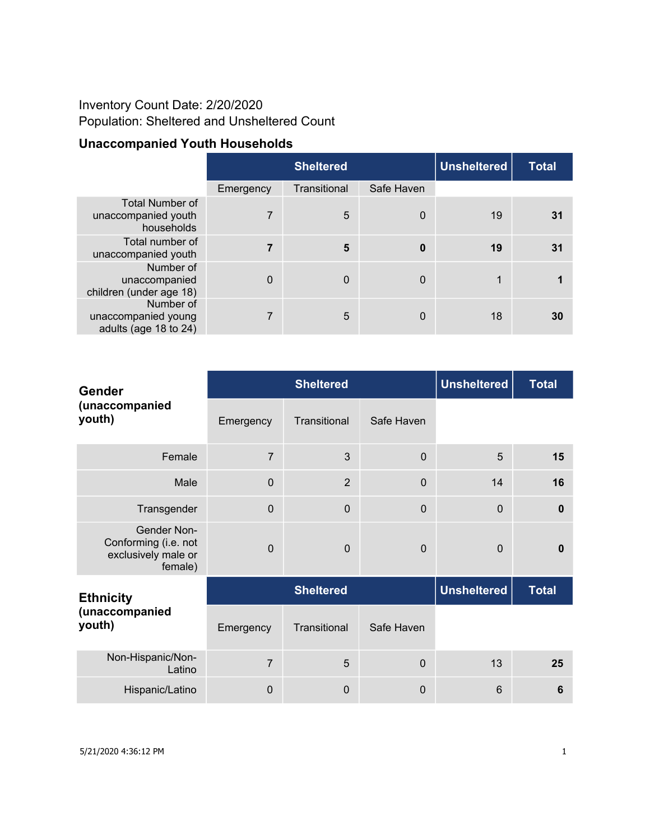## Inventory Count Date: 2/20/2020 Population: Sheltered and Unsheltered Count

## **Unaccompanied Youth Households**

|                                                             | <b>Sheltered</b> |                |            | <b>Unsheltered</b> | <b>Total</b> |
|-------------------------------------------------------------|------------------|----------------|------------|--------------------|--------------|
|                                                             | Emergency        | Transitional   | Safe Haven |                    |              |
| <b>Total Number of</b><br>unaccompanied youth<br>households |                  | 5              | 0          | 19                 | 31           |
| Total number of<br>unaccompanied youth                      | 7                | $5\phantom{1}$ | $\bf{0}$   | 19                 | 31           |
| Number of<br>unaccompanied<br>children (under age 18)       | $\Omega$         | 0              | $\Omega$   |                    |              |
| Number of<br>unaccompanied young<br>adults (age 18 to 24)   | 7                | 5              | $\Omega$   | 18                 | 30           |

| Gender                                                                       | <b>Sheltered</b> |                  |             | <b>Unsheltered</b> | <b>Total</b> |
|------------------------------------------------------------------------------|------------------|------------------|-------------|--------------------|--------------|
| (unaccompanied<br>youth)                                                     | Emergency        | Transitional     | Safe Haven  |                    |              |
| Female                                                                       | $\overline{7}$   | 3                | $\Omega$    | 5                  | 15           |
| Male                                                                         | $\Omega$         | $\overline{2}$   | $\Omega$    | 14                 | 16           |
| Transgender                                                                  | $\Omega$         | $\Omega$         | $\Omega$    | $\Omega$           | $\mathbf{0}$ |
| <b>Gender Non-</b><br>Conforming (i.e. not<br>exclusively male or<br>female) | $\overline{0}$   | $\Omega$         | $\Omega$    | $\Omega$           | $\mathbf{0}$ |
| <b>Ethnicity</b>                                                             |                  | <b>Sheltered</b> |             | <b>Unsheltered</b> | <b>Total</b> |
| (unaccompanied<br>youth)                                                     | Emergency        | Transitional     | Safe Haven  |                    |              |
| Non-Hispanic/Non-<br>Latino                                                  | $\overline{7}$   | 5                | $\mathbf 0$ | 13                 | 25           |
| Hispanic/Latino                                                              | 0                | $\mathbf 0$      | $\mathbf 0$ | 6                  | 6            |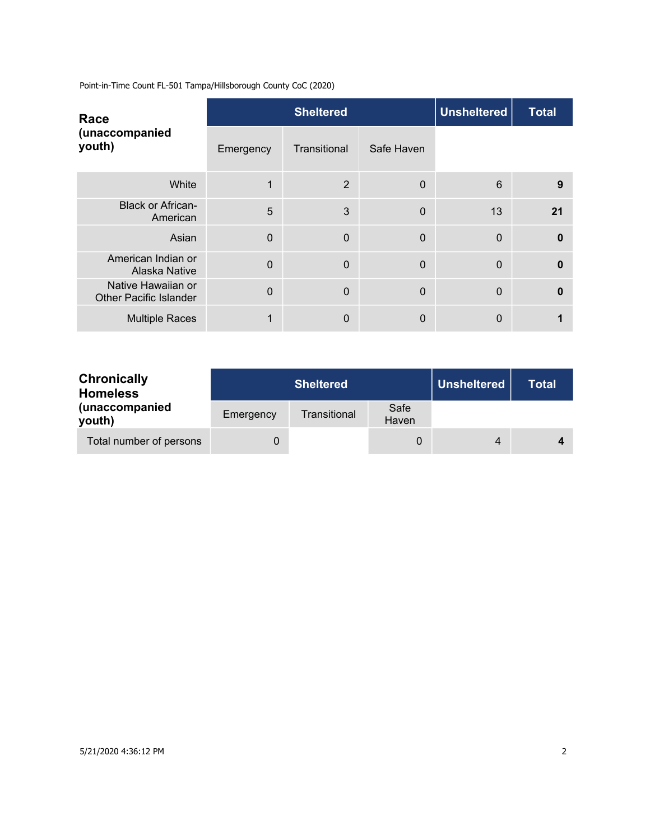Point-in-Time Count FL-501 Tampa/Hillsborough County CoC (2020)

| Race                                                |                | <b>Sheltered</b> |              | <b>Unsheltered</b> | <b>Total</b> |
|-----------------------------------------------------|----------------|------------------|--------------|--------------------|--------------|
| (unaccompanied<br>youth)                            | Emergency      | Transitional     | Safe Haven   |                    |              |
| White                                               |                | $\overline{2}$   | $\mathbf 0$  | 6                  | 9            |
| <b>Black or African-</b><br>American                | $\overline{5}$ | 3                | $\mathbf{0}$ | 13                 | 21           |
| Asian                                               | $\mathbf{0}$   | $\mathbf{0}$     | 0            | $\mathbf{0}$       | $\mathbf{0}$ |
| American Indian or<br>Alaska Native                 | $\mathbf{0}$   | $\mathbf 0$      | $\mathbf 0$  | $\mathbf 0$        | $\mathbf{0}$ |
| Native Hawaiian or<br><b>Other Pacific Islander</b> | $\Omega$       | $\overline{0}$   | $\mathbf{0}$ | $\overline{0}$     | $\mathbf{0}$ |
| <b>Multiple Races</b>                               |                | 0                | 0            | 0                  |              |

| <b>Chronically</b><br><b>Homeless</b> |           | <b>Sheltered</b> |               | Unsheltered | Total |
|---------------------------------------|-----------|------------------|---------------|-------------|-------|
| (unaccompanied<br>youth)              | Emergency | Transitional     | Safe<br>Haven |             |       |
| Total number of persons               | 0         |                  |               |             |       |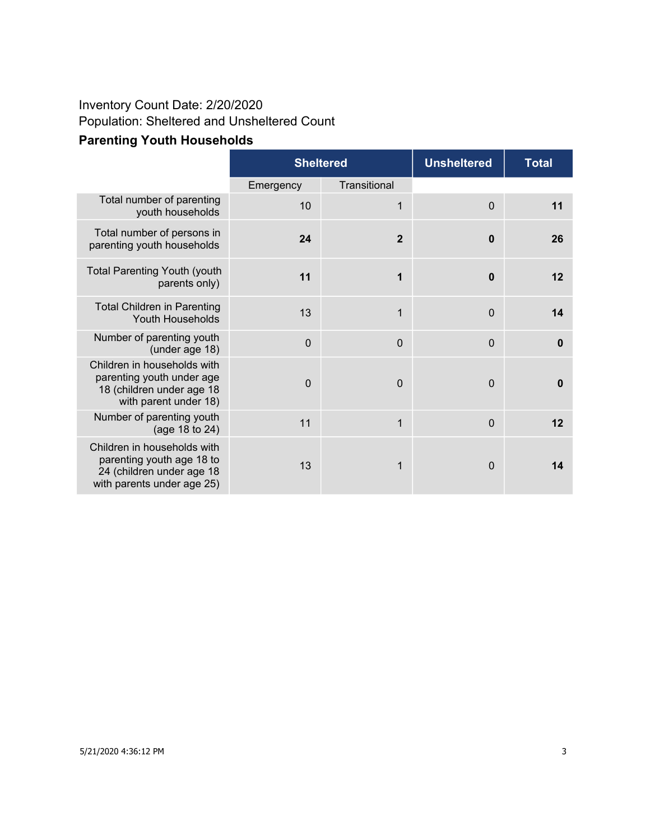## **Parenting Youth Households** Inventory Count Date: 2/20/2020 Population: Sheltered and Unsheltered Count

## **Sheltered Unsheltered Total** Emergency Transitional Total number of parenting youth households Total number of persons in

| 10          | 1              | $\boldsymbol{0}$ | 11           |
|-------------|----------------|------------------|--------------|
| 24          | $\overline{2}$ | $\bf{0}$         | 26           |
| 11          | 1              | $\boldsymbol{0}$ | 12           |
| 13          | 1              | $\mathbf 0$      | 14           |
| $\mathbf 0$ | 0              | $\mathbf 0$      | $\bf{0}$     |
| $\Omega$    | 0              | $\mathbf 0$      | $\mathbf{0}$ |
| 11          | 1              | $\mathbf 0$      | 12           |
| 13          | 1              | $\mathbf 0$      | 14           |
|             |                |                  |              |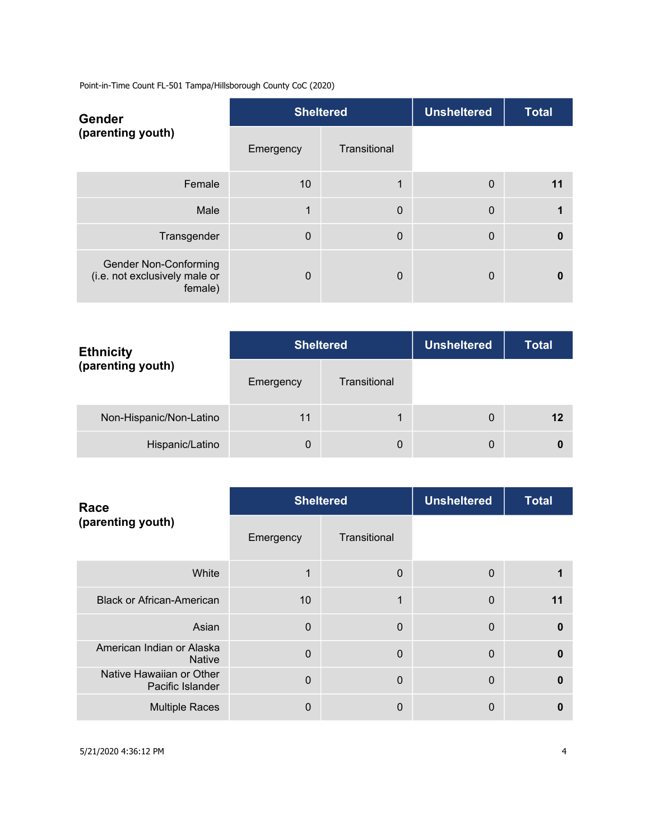Point-in-Time Count FL-501 Tampa/Hillsborough County CoC (2020)

| <b>Gender</b>                                                            | <b>Sheltered</b> |              | <b>Unsheltered</b> | <b>Total</b> |
|--------------------------------------------------------------------------|------------------|--------------|--------------------|--------------|
| (parenting youth)                                                        | Emergency        | Transitional |                    |              |
| Female                                                                   | 10               | 1            | $\mathbf 0$        | 11           |
| Male                                                                     | $\mathbf 1$      | $\mathbf 0$  | $\mathbf 0$        |              |
| Transgender                                                              | $\Omega$         | $\mathbf 0$  | $\mathbf 0$        | $\bf{0}$     |
| <b>Gender Non-Conforming</b><br>(i.e. not exclusively male or<br>female) | $\mathbf 0$      | $\mathbf 0$  | 0                  | 0            |

| <b>Ethnicity</b>        | Sheltered |              | <b>Unsheltered</b> | <b>Total</b> |
|-------------------------|-----------|--------------|--------------------|--------------|
| (parenting youth)       | Emergency | Transitional |                    |              |
| Non-Hispanic/Non-Latino | 11        | 1            | 0                  | 12           |
| Hispanic/Latino         | 0         | 0            | 0                  | 0            |

| Race                                         |           | <b>Sheltered</b> | <b>Unsheltered</b> | <b>Total</b> |
|----------------------------------------------|-----------|------------------|--------------------|--------------|
| (parenting youth)                            | Emergency | Transitional     |                    |              |
| White                                        | 1         | $\mathbf 0$      | 0                  |              |
| <b>Black or African-American</b>             | 10        | 1                | $\overline{0}$     | 11           |
| Asian                                        | $\Omega$  | $\Omega$         | $\mathbf 0$        | $\Omega$     |
| American Indian or Alaska<br><b>Native</b>   | $\Omega$  | $\Omega$         | $\mathbf 0$        | $\bf{0}$     |
| Native Hawaiian or Other<br>Pacific Islander | $\Omega$  | $\Omega$         | $\mathbf 0$        | $\bf{0}$     |
| <b>Multiple Races</b>                        | $\Omega$  | 0                | 0                  |              |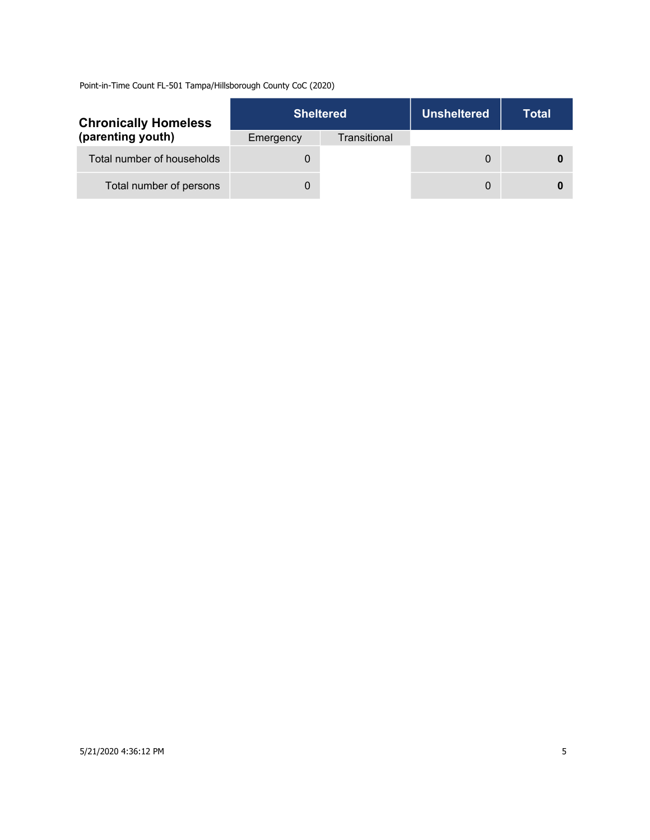Point-in-Time Count FL-501 Tampa/Hillsborough County CoC (2020)

| <b>Chronically Homeless</b> |           | <b>Sheltered</b> | <b>Unsheltered</b> | Total |
|-----------------------------|-----------|------------------|--------------------|-------|
| (parenting youth)           | Emergency | Transitional     |                    |       |
| Total number of households  |           |                  | 0                  |       |
| Total number of persons     |           |                  | 0                  |       |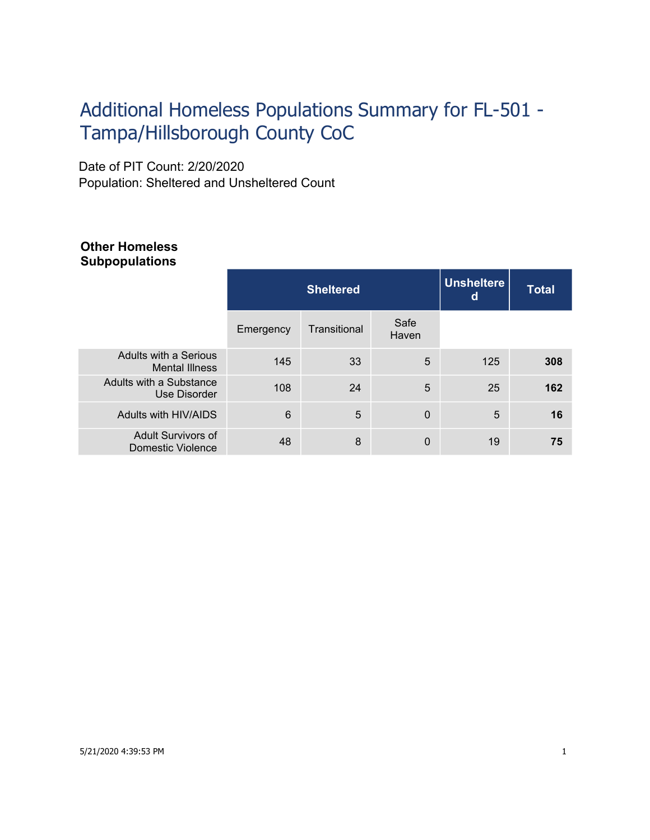# Additional Homeless Populations Summary for FL-501 - Tampa/Hillsborough County CoC

Date of PIT Count: 2/20/2020

Population: Sheltered and Unsheltered Count

#### **Other Homeless Subpopulations**

|                                                |           | <b>Sheltered</b> |               | <b>Unsheltere</b><br>d | <b>Total</b> |
|------------------------------------------------|-----------|------------------|---------------|------------------------|--------------|
|                                                | Emergency | Transitional     | Safe<br>Haven |                        |              |
| Adults with a Serious<br><b>Mental Illness</b> | 145       | 33               | 5             | 125                    | 308          |
| <b>Adults with a Substance</b><br>Use Disorder | 108       | 24               | 5             | 25                     | 162          |
| Adults with HIV/AIDS                           | 6         | 5                | $\Omega$      | 5                      | 16           |
| <b>Adult Survivors of</b><br>Domestic Violence | 48        | 8                | $\Omega$      | 19                     | 75           |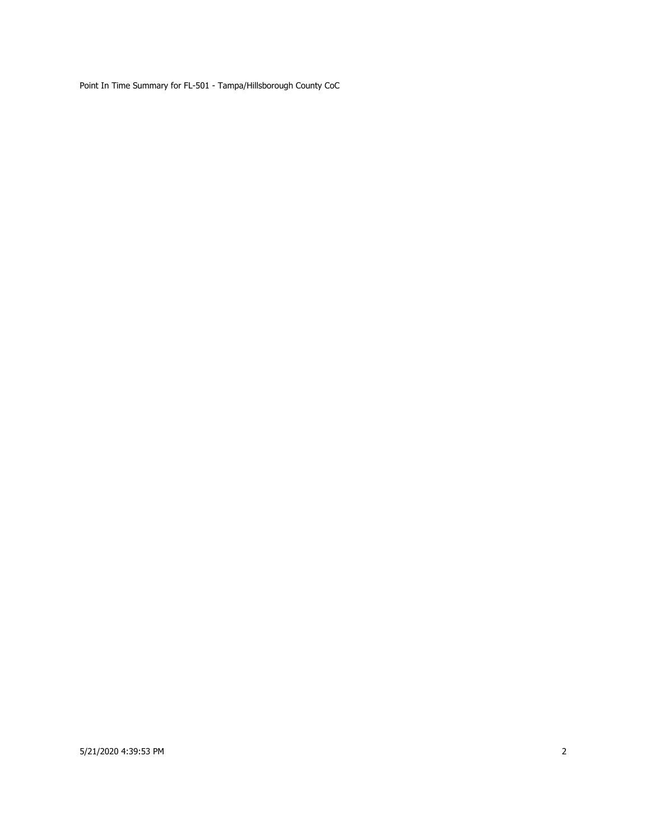Point In Time Summary for FL-501 - Tampa/Hillsborough County CoC